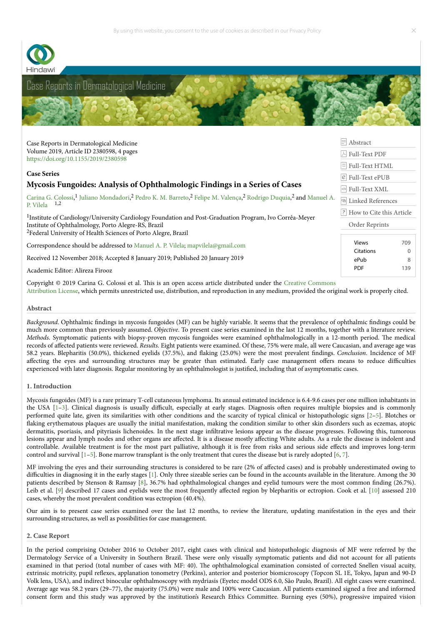



Case Reports in Dermatological Medicine Volume 2019, Article ID 2380598, 4 pages <https://doi.org/10.1155/2019/2380598>

## **Case Series**

# **Mycosis Fungoides: Analysis of Ophthalmologic Findings in a Series of Cases**

Carina [G.](http://orcid.org/0000-0002-3290-419X) [Colossi,](https://www.hindawi.com/92138164/)<sup>1</sup> Juliano [Mondadori](https://www.hindawi.com/74182624/)[,](https://www.hindawi.com/63041874/)<sup>2</sup> Pedro K. M. [Barreto](https://www.hindawi.com/72307928/),<sup>2</sup> Felipe M. [Valença](https://www.hindawi.com/24385457/),<sup>2</sup> [Rodrigo](https://www.hindawi.com/52691284/) Duquia,<sup>2</sup> and Manuel A. P. Vilela 1,2

<sup>1</sup>Institute of Cardiology/University Cardiology Foundation and Post-Graduation Program, Ivo Corrêa-Meyer Institute of Ophthalmology, Porto Alegre-RS, Brazil <sup>2</sup>Federal University of Health Sciences of Porto Alegre, Brazil

Correspondence should be addressed to [Manuel](https://www.hindawi.com/63041874/) A. P. Vilela; [mapvilela@gmail.com](mailto:null)

Received 12 November 2018; Accepted 8 January 2019; Published 20 January 2019

Academic Editor: Alireza Firooz

Copyright © 2019 Carina G. Colossi et al. This is an open access article distributed under the Creative Commons

Attribution License, which permits unrestricted use, distribution, and [reproduction](http://creativecommons.org/licenses/by/4.0/) in any medium, provided the original work is properly cited.

### **Abstract**

*Background*. Ophthalmic findings in mycosis fungoides (MF) can be highly variable. It seems that the prevalence of ophthalmic findings could be much more common than previously assumed. *Objective*. To present case series examined in the last 12 months, together with a literature review. *Methods*. Symptomatic patients with biopsy-proven mycosis fungoides were examined ophthalmologically in a 12-month period. The medical records of affected patients were reviewed. *Results*. Eight patients were examined. Of these, 75% were male, all were Caucasian, and average age was 58.2 years. Blepharitis (50.0%), thickened eyelids (37.5%), and aking (25.0%) were the most prevalent ndings. *Conclusion*. Incidence of MF affecting the eyes and surrounding structures may be greater than estimated. Early case management offers means to reduce difficulties experienced with later diagnosis. Regular monitoring by an ophthalmologist is justified, including that of asymptomatic cases.

### **1. Introduction**

Mycosis fungoides (MF) is a rare primary T-cell cutaneous lymphoma. Its annual estimated incidence is 6.4-9.6 cases per one million inhabitants in the USA  $[1-3]$  $[1-3]$ . Clinical diagnosis is usually difficult, especially at early stages. Diagnosis often requires multiple biopsies and is commonly performed quite late, given its similarities with other conditions and the scarcity of typical clinical or histopathologic signs [\[2–](#page-1-2)[5\]](#page-2-0). Blotches or flaking erythematous plaques are usually the initial manifestation, making the condition similar to other skin disorders such as eczemas, atopic dermatitis, psoriasis, and pityriasis lichenoides. In the next stage inltrative lesions appear as the disease progresses. Following this, tumorous lesions appear and lymph nodes and other organs are affected. It is a disease mostly affecting White adults. As a rule the disease is indolent and controllable. Available treatment is for the most part palliative, although it is free from risks and serious side effects and improves long-term control and survival [[1](#page-1-0)[–5\]](#page-2-0). Bone marrow transplant is the only treatment that cures the disease but is rarely adopted [[6](#page-2-1), [7\]](#page-2-2).

MF involving the eyes and their surrounding structures is considered to be rare (2% of affected cases) and is probably underestimated owing to difficulties in diagnosing it in the early stages [\[1\]](#page-1-0). Only three sizeable series can be found in the accounts available in the literature. Among the 30 patients described by Stenson & Ramsay [\[8](#page-2-3)], 36.7% had ophthalmological changes and eyelid tumours were the most common nding (26.7%). Leib et al. [[9](#page-2-4)] described 17 cases and eyelids were the most frequently affected region by blepharitis or ectropion. Cook et al. [\[10\]](#page-2-5) assessed 210 cases, whereby the most prevalent condition was ectropion (40.4%).

Our aim is to present case series examined over the last 12 months, to review the literature, updating manifestation in the eyes and their surrounding structures, as well as possibilities for case management.

### **2. Case Report**

In the period comprising October 2016 to October 2017, eight cases with clinical and histopathologic diagnosis of MF were referred by the Dermatology Service of a University in Southern Brazil. These were only visually symptomatic patients and did not account for all patients examined in that period (total number of cases with MF: 40). The ophthalmological examination consisted of corrected Snellen visual acuity, extrinsic motricity, pupil reflexes, applanation tonometry (Perkins), anterior and posterior biomicroscopy (Topcon SL 1E, Tokyo, Japan and 90-D Volk lens, USA), and indirect binocular ophthalmoscopy with mydriasis (Eyetec model ODS 6.0, São Paulo, Brazil). All eight cases were examined. Average age was 58.2 years (29–77), the majority (75.0%) were male and 100% were Caucasian. All patients examined signed a free and informed consent form and this study was approved by the institution's Research Ethics Committee. Burning eyes (50%), progressive impaired vision

[Abstract](https://www.hindawi.com/journals/cridm/2019/2380598/abs/) [Full-Text](http://downloads.hindawi.com/journals/cridm/2019/2380598.pdf) PDF  $\boxed{\textcolor{blue}{\exists}}$  [Full-Text](https://www.hindawi.com/journals/cridm/2019/2380598/) HTML [Full-Text](http://downloads.hindawi.com/journals/cridm/2019/2380598.epub) ePUB  $\left| \diamond \right|$  [Full-Text](http://downloads.hindawi.com/journals/cridm/2019/2380598.xml) XML **ED** Linked [References](https://www.hindawi.com/journals/cridm/2019/2380598/ref/) **F** How to Cite this [Article](https://www.hindawi.com/journals/cridm/2019/2380598/cta/) Order [Reprints](https://www.hindawi.com/journals/cridm/2019/2380598/reprint/#reprints)

> Views 709 Citations 0 ePub 8 PDF 139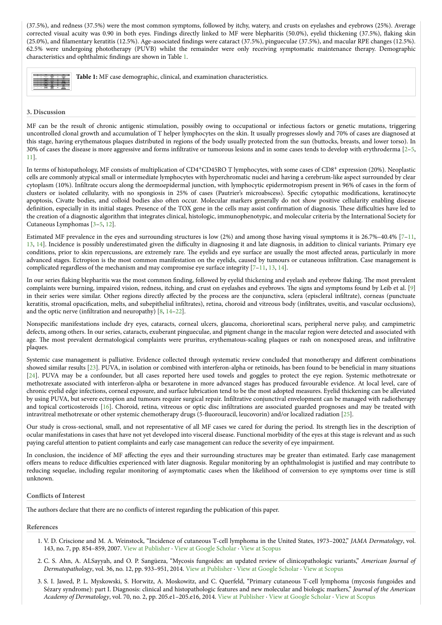(37.5%), and redness (37.5%) were the most common symptoms, followed by itchy, watery, and crusts on eyelashes and eyebrows (25%). Average corrected visual acuity was 0.90 in both eyes. Findings directly linked to MF were blepharitis (50.0%), eyelid thickening (37.5%), flaking skin (25.0%), and filamentary keratitis (12.5%). Age-associated findings were cataract (37.5%), pingueculae (37.5%), and macular RPE changes (12.5%). 62.5% were undergoing phototherapy (PUVB) whilst the remainder were only receiving symptomatic maintenance therapy. Demographic characteristics and ophthalmic findings are shown in Table [1](https://www.hindawi.com/journals/cridm/2019/2380598/tab1/).

|  | Table 1: MF case demographic, clinical, and examination characteristics. |
|--|--------------------------------------------------------------------------|
|--|--------------------------------------------------------------------------|

### **3. Discussion**

MF can be the result of chronic antigenic stimulation, possibly owing to occupational or infectious factors or genetic mutations, triggering uncontrolled clonal growth and accumulation of T helper lymphocytes on the skin. It usually progresses slowly and 70% of cases are diagnosed at this stage, having erythematous plaques distributed in regions of the body usually protected from the sun (buttocks, breasts, and lower torso). In 30% of cases the disease is more aggressive and forms inltrative or tumorous lesions and in some cases tends to develop with erythroderma [[2](#page-1-2)–[5](#page-2-0), [11](#page-2-6)].

In terms of histopathology, MF consists of multiplication of CD4<sup>+</sup>CD45RO T lymphocytes, with some cases of CD8<sup>+</sup> expression (20%). Neoplastic cells are commonly atypical small or intermediate lymphocytes with hyperchromatic nuclei and having a cerebrum-like aspect surrounded by clear cytoplasm (10%). Inltrate occurs along the dermoepidermal junction, with lymphocytic epidermotropism present in 96% of cases in the form of clusters or isolated cellularity, with no spongiosis in 25% of cases (Pautrier's microabscess). Specific cytopathic modifications, keratinocyte apoptosis, Civatte bodies, and colloid bodies also often occur. Molecular markers generally do not show positive cellularity enabling disease definition, especially in its initial stages. Presence of the TOX gene in the cells may assist confirmation of diagnosis. These difficulties have led to the creation of a diagnostic algorithm that integrates clinical, histologic, immunophenotypic, and molecular criteria by the International Society for Cutaneous Lymphomas [\[3](#page-1-1)[–5](#page-2-0), [12\]](#page-2-7).

Estimated MF prevalence in the eyes and surrounding structures is low (2%) and among those having visual symptoms it is 26.7%–40.4% [[7–](#page-2-2)[11](#page-2-6), [13](#page-2-8), [14](#page-2-9)]. Incidence is possibly underestimated given the difficulty in diagnosing it and late diagnosis, in addition to clinical variants. Primary eye conditions, prior to skin repercussions, are extremely rare. The eyelids and eye surface are usually the most affected areas, particularly in more advanced stages. Ectropion is the most common manifestation on the eyelids, caused by tumours or cutaneous inltration. Case management is complicated regardless of the mechanism and may compromise eye surface integrity  $[7-11, 13, 14]$  $[7-11, 13, 14]$  $[7-11, 13, 14]$  $[7-11, 13, 14]$  $[7-11, 13, 14]$  $[7-11, 13, 14]$  $[7-11, 13, 14]$ .

In our series flaking blepharitis was the most common finding, followed by eyelid thickening and eyelash and eyebrow flaking. The most prevalent complaints were burning, impaired vision, redness, itching, and crust on eyelashes and eyebrows. The signs and symptoms found by Leib et al. [[9\]](#page-2-4) in their series were similar. Other regions directly affected by the process are the conjunctiva, sclera (episcleral inltrate), corneas (punctuate keratitis, stromal opacification, melts, and subepithelial infiltrates), retina, choroid and vitreous body (infiltrates, uveitis, and vascular occlusions), and the optic nerve (infiltration and neuropathy)  $[8, 14-22]$  $[8, 14-22]$  $[8, 14-22]$  $[8, 14-22]$ .

Nonspecific manifestations include dry eyes, cataracts, corneal ulcers, glaucoma, chorioretinal scars, peripheral nerve palsy, and campimetric defects, among others. In our series, cataracts, exuberant pingueculae, and pigment change in the macular region were detected and associated with age. The most prevalent dermatological complaints were pruritus, erythematous-scaling plaques or rash on nonexposed areas, and infiltrative plaques.

Systemic case management is palliative. Evidence collected through systematic review concluded that monotherapy and different combinations showed similar results [\[23](#page-2-11)]. PUVA, in isolation or combined with interferon-alpha or retinoids, has been found to be benecial in many situations [[24](#page-2-12)]. PUVA may be a confounder, but all cases reported here used towels and goggles to protect the eye region. Systemic methotrexate or methotrexate associated with interferon-alpha or bexarotene in more advanced stages has produced favourable evidence. At local level, care of chronic eyelid edge infections, corneal exposure, and surface lubrication tend to be the most adopted measures. Eyelid thickening can be alleviated by using PUVA, but severe ectropion and tumours require surgical repair. Inltrative conjunctival envelopment can be managed with radiotherapy and topical corticosteroids [\[16](#page-2-13)]. Choroid, retina, vitreous or optic disc infiltrations are associated guarded prognoses and may be treated with intravitreal methotrexate or other systemic chemotherapy drugs (5-fluorouracil, leucovorin) and/or localized radiation [[25](#page-2-14)].

Our study is cross-sectional, small, and not representative of all MF cases we cared for during the period. Its strength lies in the description of ocular manifestations in cases that have not yet developed into visceral disease. Functional morbidity of the eyes at this stage is relevant and as such paying careful attention to patient complaints and early case management can reduce the severity of eye impairment.

In conclusion, the incidence of MF affecting the eyes and their surrounding structures may be greater than estimated. Early case management offers means to reduce difficulties experienced with later diagnosis. Regular monitoring by an ophthalmologist is justied and may contribute to reducing sequelae, including regular monitoring of asymptomatic cases when the likelihood of conversion to eye symptoms over time is still unknown.

#### **Conflicts** of **Interest**

The authors declare that there are no conflicts of interest regarding the publication of this paper.

#### **References**

- <span id="page-1-0"></span>1. V. D. Criscione and M. A. Weinstock, "Incidence of cutaneous T-cell lymphoma in the United States, 1973–2002," *JAMA Dermatology*, vol. 143, no. 7, pp. 854–859, 2007. View at [Publisher](https://doi.org/10.1001%2farchderm.143.7.854) · View at Google [Scholar](http://scholar.google.com/scholar_lookup?title=Incidence+of+cutaneous+T-cell+lymphoma+in+the+United+States%2c+1973%e2%80%932002&author=V.+D.+Criscione&author=M.+A.+Weinstock&publication_year=2007) · View at [Scopus](http://www.scopus.com/scopus/inward/record.url?eid=2-s2.0-34447558598&partnerID=K84CvKBR&rel=3.0.0&md5=ed55f67ca2efd495ae2604142ba9af9e)
- <span id="page-1-2"></span>2. C. S. Ahn, A. ALSayyah, and O. P. Sangüeza, "Mycosis fungoides: an updated review of clinicopathologic variants," *American Journal of Dermatopathology*, vol. 36, no. 12, pp. 933–951, 2014. View at [Publisher](https://doi.org/10.1097%2fdad.0000000000000207) · View at Google [Scholar](http://scholar.google.com/scholar_lookup?title=Mycosis+fungoides%3a+an+updated+review+of+clinicopathologic+variants&author=C.+S.+Ahn&author=A.+ALSayyah&author=O.+P.+Sang%c3%bceza&publication_year=2014) · View at [Scopus](http://www.scopus.com/scopus/inward/record.url?eid=2-s2.0-84920386852&partnerID=K84CvKBR&rel=3.0.0&md5=c52c3c5f41ff5ee9a00594a327308ce4)
- <span id="page-1-1"></span>3. S. I. Jawed, P. L. Myskowski, S. Horwitz, A. Moskowitz, and C. Querfeld, "Primary cutaneous T-cell lymphoma (mycosis fungoides and Sézary syndrome): part I. Diagnosis: clinical and histopathologic features and new molecular and biologic markers," *Journal of the American Academy of Dermatology*, vol. 70, no. 2, pp. 205.e1–205.e16, 2014. View at [Publisher](https://doi.org/10.1016%2fj.jaad.2013.07.049) · View at Google [Scholar](http://scholar.google.com/scholar_lookup?title=Primary+cutaneous+T-cell+lymphoma+(mycosis+fungoides+and+S%c3%a9zary+syndrome)%3a+part+I.+Diagnosis%3a+clinical+and+histopathologic+features+and+new+molecular+and+biologic+markers&author=S.+I.+Jawed&author=P.+L.+Myskowski&author=S.+Horwitz&author=A.+Moskowitz&author=C.+Querfeld&publication_year=2014) · View at [Scopus](http://www.scopus.com/scopus/inward/record.url?eid=2-s2.0-84892647296&partnerID=K84CvKBR&rel=3.0.0&md5=25add24b69635eb87bbab6f350a21fe6)